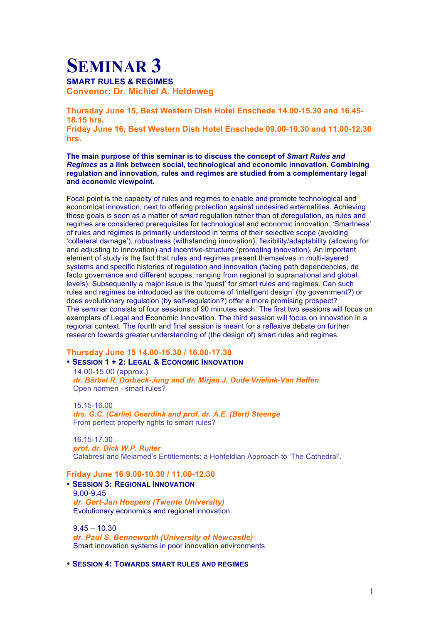## **SEMINAR 3 SMART RULES & REGIMES Convenor: Dr. Michiel A. Heldeweg**

**Thursday June 15, Best Western Dish Hotel Enschede 14.00-15.30 and 16.45- 18.15 hrs. Friday June 16, Best Western Dish Hotel Enschede 09.00-10.30 and 11.00-12.30 hrs.**

**The main purpose of this seminar is to discuss the concept of** *Smart Rules and Regimes* **as a link between social, technological and economic innovation. Combining regulation and innovation, rules and regimes are studied from a complementary legal and economic viewpoint.**

Focal point is the capacity of rules and regimes to enable and promote technological and economical innovation, next to offering protection against undesired externalities. Achieving these goals is seen as a matter of *smart* regulation rather than of *de*regulation, as rules and regimes are considered prerequisites for technological and economic innovation. 'Smartness' of rules and regimes is primarily understood in terms of their selective scope (avoiding 'collateral damage'), robustness (withstanding innovation), flexibility/adaptability (allowing for and adjusting to innovation) and incentive-structure (promoting innovation). An important element of study is the fact that rules and regimes present themselves in multi-layered systems and specific histories of regulation and innovation (facing path dependencies, de facto governance and different scopes, ranging from regional to supranational and global levels). Subsequently a major issue is the 'quest' for smart rules and regimes. Can such rules and regimes be introduced as the outcome of 'intelligent design' (by government?) or does evolutionary regulation (by self-regulation?) offer a more promising prospect? The seminar consists of four sessions of 90 minutes each. The first two sessions will focus on exemplars of Legal and Economic Innovation. The third session will focus on innovation in a regional context. The fourth and final session is meant for a reflexive debate on further research towards greater understanding of (the design of) smart rules and regimes.

## **Thursday June 15 14.00-15.30 / 16.00-17.30**

• **SESSION 1 + 2: LEGAL & ECONOMIC INNOVATION** 14.00-15.00 (approx.) *dr. Bärbel R. Dorbeck-Jung and dr. Mirjan J. Oude Vrielink-Van Heffen* Open normen - smart rules?

15.15-16.00 *drs. G.C. (Carlie) Geerdink and prof. dr. A.E. (Bert) Steenge* From perfect property rights to smart rules?

16.15-17.30 *prof. dr. Dick W.P. Ruiter* Calabresi and Melamed's Entitlements: a Hohfeldian Approach to 'The Cathedral'.

## **Friday June 16 9.00-10.30 / 11.00-12.30**

• **SESSION 3: REGIONAL INNOVATION** 9.00-9.45 *dr. Gert-Jan Hospers (Twente University)* Evolutionary economics and regional innovation.

 $9.45 - 10.30$ *dr. Paul S. Benneworth (University of Newcastle)* Smart innovation systems in poor innovation environments

• **SESSION 4: TOWARDS SMART RULES AND REGIMES**